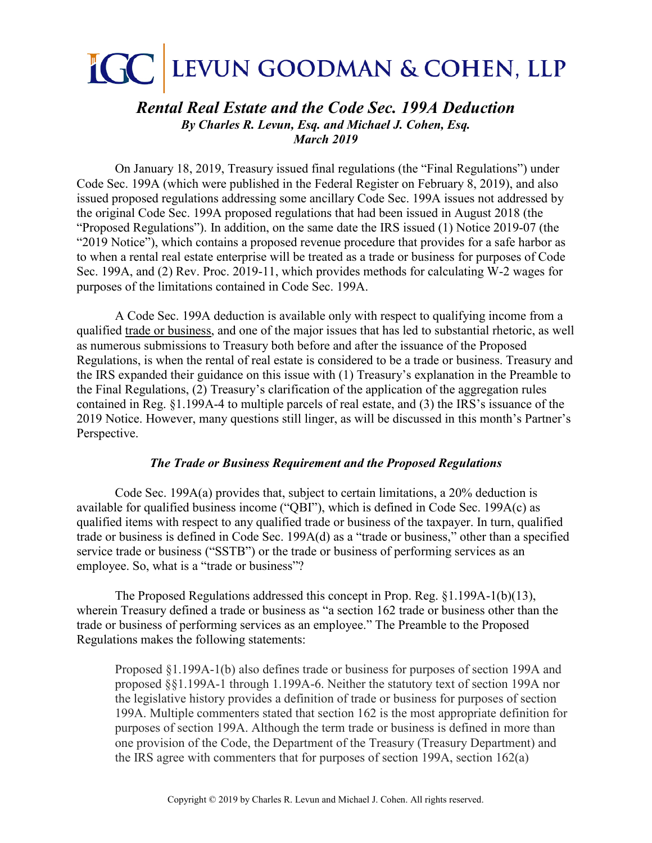# **IGC** LEVUN GOODMAN & COHEN, LLP

# *Rental Real Estate and the Code Sec. 199A Deduction By Charles R. Levun, Esq. and Michael J. Cohen, Esq. March 2019*

On January 18, 2019, Treasury issued final regulations (the "Final Regulations") under Code Sec. 199A (which were published in the Federal Register on February 8, 2019), and also issued proposed regulations addressing some ancillary Code Sec. 199A issues not addressed by the original Code Sec. 199A proposed regulations that had been issued in August 2018 (the "Proposed Regulations"). In addition, on the same date the IRS issued (1) Notice 2019-07 (the "2019 Notice"), which contains a proposed revenue procedure that provides for a safe harbor as to when a rental real estate enterprise will be treated as a trade or business for purposes of Code Sec. 199A, and (2) Rev. Proc. 2019-11, which provides methods for calculating W-2 wages for purposes of the limitations contained in Code Sec. 199A.

A Code Sec. 199A deduction is available only with respect to qualifying income from a qualified trade or business, and one of the major issues that has led to substantial rhetoric, as well as numerous submissions to Treasury both before and after the issuance of the Proposed Regulations, is when the rental of real estate is considered to be a trade or business. Treasury and the IRS expanded their guidance on this issue with (1) Treasury's explanation in the Preamble to the Final Regulations, (2) Treasury's clarification of the application of the aggregation rules contained in Reg. §1.199A-4 to multiple parcels of real estate, and (3) the IRS's issuance of the 2019 Notice. However, many questions still linger, as will be discussed in this month's Partner's Perspective.

## *The Trade or Business Requirement and the Proposed Regulations*

Code Sec. 199A(a) provides that, subject to certain limitations, a 20% deduction is available for qualified business income ("QBI"), which is defined in Code Sec. 199A(c) as qualified items with respect to any qualified trade or business of the taxpayer. In turn, qualified trade or business is defined in Code Sec. 199A(d) as a "trade or business," other than a specified service trade or business ("SSTB") or the trade or business of performing services as an employee. So, what is a "trade or business"?

The Proposed Regulations addressed this concept in Prop. Reg. §1.199A-1(b)(13), wherein Treasury defined a trade or business as "a section 162 trade or business other than the trade or business of performing services as an employee." The Preamble to the Proposed Regulations makes the following statements:

Proposed §1.199A-1(b) also defines trade or business for purposes of section 199A and proposed §§1.199A-1 through 1.199A-6. Neither the statutory text of section 199A nor the legislative history provides a definition of trade or business for purposes of section 199A. Multiple commenters stated that section 162 is the most appropriate definition for purposes of section 199A. Although the term trade or business is defined in more than one provision of the Code, the Department of the Treasury (Treasury Department) and the IRS agree with commenters that for purposes of section 199A, section 162(a)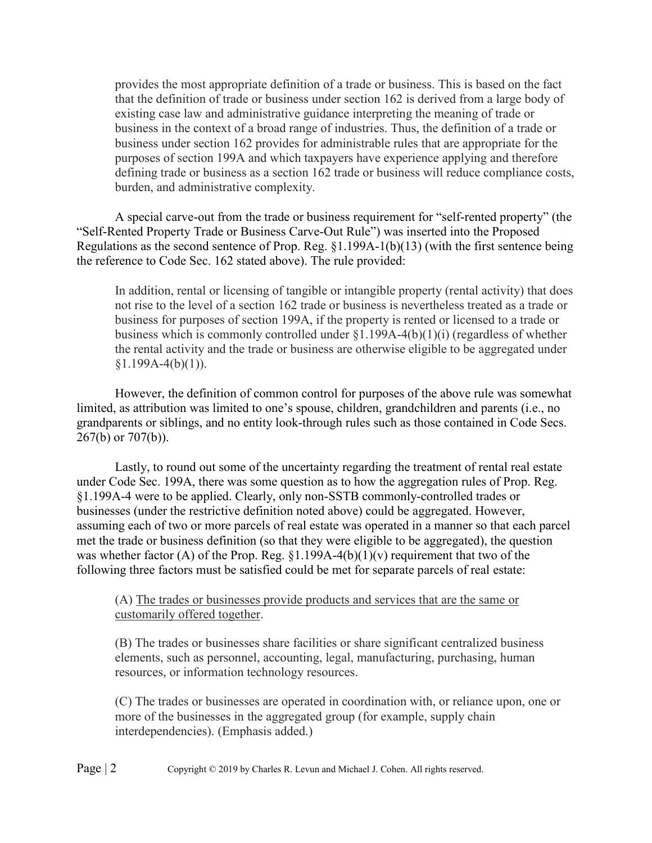provides the most appropriate definition of a trade or business. This is based on the fact that the definition of trade or business under section 162 is derived from a large body of existing case law and administrative guidance interpreting the meaning of trade or business in the context of a broad range of industries. Thus, the definition of a trade or business under section 162 provides for administrable rules that are appropriate for the purposes of section 199A and which taxpayers have experience applying and therefore defining trade or business as a section 162 trade or business will reduce compliance costs, burden, and administrative complexity.

A special carve-out from the trade or business requirement for "self-rented property" (the "Self-Rented Property Trade or Business Carve-Out Rule") was inserted into the Proposed Regulations as the second sentence of Prop. Reg. §1.199A-1(b)(13) (with the first sentence being the reference to Code Sec. 162 stated above). The rule provided:

In addition, rental or licensing of tangible or intangible property (rental activity) that does not rise to the level of a section 162 trade or business is nevertheless treated as a trade or business for purposes of section 199A, if the property is rented or licensed to a trade or business which is commonly controlled under §1.199A-4(b)(1)(i) (regardless of whether the rental activity and the trade or business are otherwise eligible to be aggregated under  $§1.199A-4(b)(1)).$ 

However, the definition of common control for purposes of the above rule was somewhat limited, as attribution was limited to one's spouse, children, grandchildren and parents (i.e., no grandparents or siblings, and no entity look-through rules such as those contained in Code Secs. 267(b) or 707(b)).

Lastly, to round out some of the uncertainty regarding the treatment of rental real estate under Code Sec. 199A, there was some question as to how the aggregation rules of Prop. Reg. §1.199A-4 were to be applied. Clearly, only non-SSTB commonly-controlled trades or businesses (under the restrictive definition noted above) could be aggregated. However, assuming each of two or more parcels of real estate was operated in a manner so that each parcel met the trade or business definition (so that they were eligible to be aggregated), the question was whether factor (A) of the Prop. Reg.  $\S1.199A-4(b)(1)(v)$  requirement that two of the following three factors must be satisfied could be met for separate parcels of real estate:

(A) The trades or businesses provide products and services that are the same or customarily offered together.

(B) The trades or businesses share facilities or share significant centralized business elements, such as personnel, accounting, legal, manufacturing, purchasing, human resources, or information technology resources.

(C) The trades or businesses are operated in coordination with, or reliance upon, one or more of the businesses in the aggregated group (for example, supply chain interdependencies). (Emphasis added.)

Page | 2 Copyright © 2019 by Charles R. Levun and Michael J. Cohen. All rights reserved.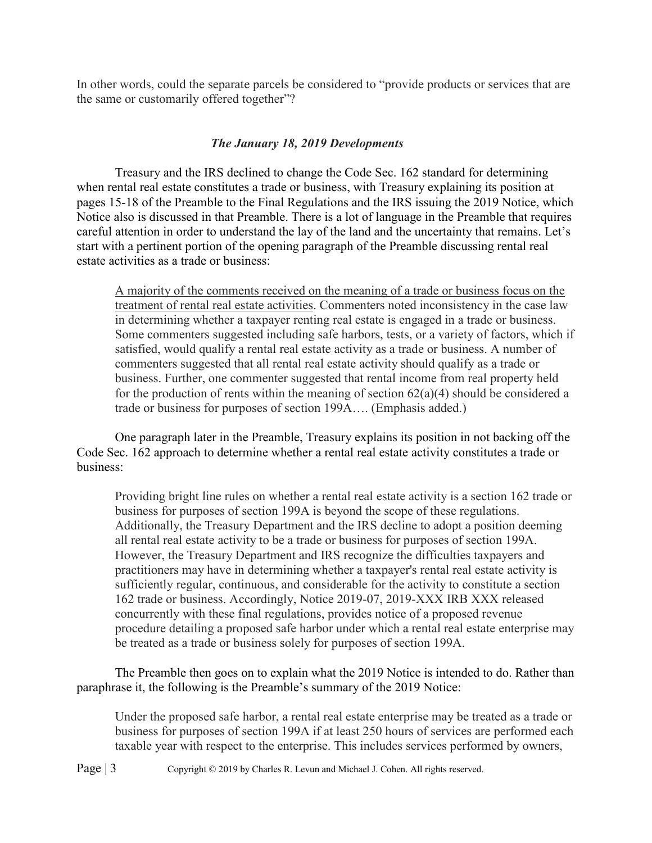In other words, could the separate parcels be considered to "provide products or services that are the same or customarily offered together"?

# *The January 18, 2019 Developments*

Treasury and the IRS declined to change the Code Sec. 162 standard for determining when rental real estate constitutes a trade or business, with Treasury explaining its position at pages 15-18 of the Preamble to the Final Regulations and the IRS issuing the 2019 Notice, which Notice also is discussed in that Preamble. There is a lot of language in the Preamble that requires careful attention in order to understand the lay of the land and the uncertainty that remains. Let's start with a pertinent portion of the opening paragraph of the Preamble discussing rental real estate activities as a trade or business:

A majority of the comments received on the meaning of a trade or business focus on the treatment of rental real estate activities. Commenters noted inconsistency in the case law in determining whether a taxpayer renting real estate is engaged in a trade or business. Some commenters suggested including safe harbors, tests, or a variety of factors, which if satisfied, would qualify a rental real estate activity as a trade or business. A number of commenters suggested that all rental real estate activity should qualify as a trade or business. Further, one commenter suggested that rental income from real property held for the production of rents within the meaning of section  $62(a)(4)$  should be considered a trade or business for purposes of section 199A…. (Emphasis added.)

One paragraph later in the Preamble, Treasury explains its position in not backing off the Code Sec. 162 approach to determine whether a rental real estate activity constitutes a trade or business:

Providing bright line rules on whether a rental real estate activity is a section 162 trade or business for purposes of section 199A is beyond the scope of these regulations. Additionally, the Treasury Department and the IRS decline to adopt a position deeming all rental real estate activity to be a trade or business for purposes of section 199A. However, the Treasury Department and IRS recognize the difficulties taxpayers and practitioners may have in determining whether a taxpayer's rental real estate activity is sufficiently regular, continuous, and considerable for the activity to constitute a section 162 trade or business. Accordingly, Notice 2019-07, 2019-XXX IRB XXX released concurrently with these final regulations, provides notice of a proposed revenue procedure detailing a proposed safe harbor under which a rental real estate enterprise may be treated as a trade or business solely for purposes of section 199A.

The Preamble then goes on to explain what the 2019 Notice is intended to do. Rather than paraphrase it, the following is the Preamble's summary of the 2019 Notice:

Under the proposed safe harbor, a rental real estate enterprise may be treated as a trade or business for purposes of section 199A if at least 250 hours of services are performed each taxable year with respect to the enterprise. This includes services performed by owners,

Page | 3 Copyright © 2019 by Charles R. Levun and Michael J. Cohen. All rights reserved.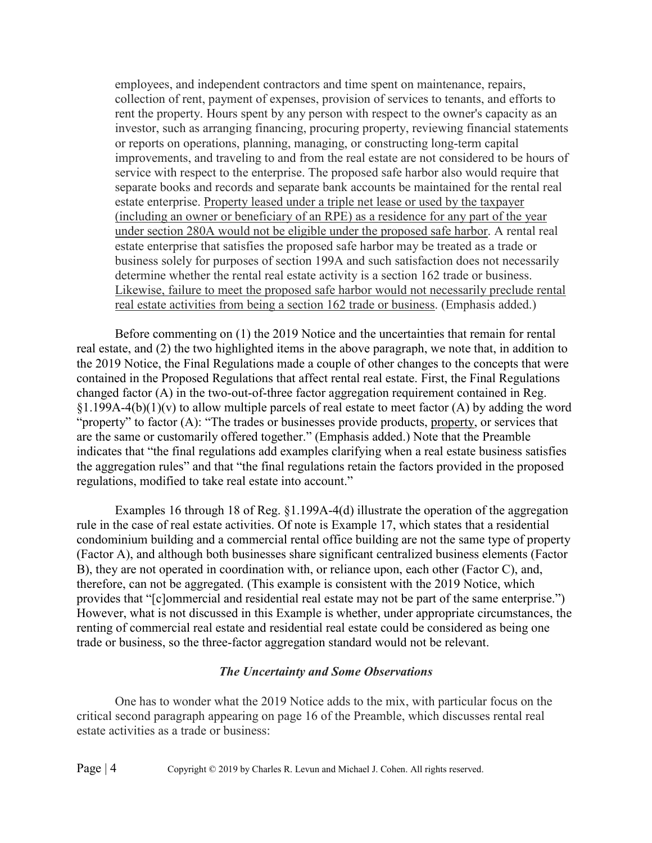employees, and independent contractors and time spent on maintenance, repairs, collection of rent, payment of expenses, provision of services to tenants, and efforts to rent the property. Hours spent by any person with respect to the owner's capacity as an investor, such as arranging financing, procuring property, reviewing financial statements or reports on operations, planning, managing, or constructing long-term capital improvements, and traveling to and from the real estate are not considered to be hours of service with respect to the enterprise. The proposed safe harbor also would require that separate books and records and separate bank accounts be maintained for the rental real estate enterprise. Property leased under a triple net lease or used by the taxpayer (including an owner or beneficiary of an RPE) as a residence for any part of the year under section 280A would not be eligible under the proposed safe harbor. A rental real estate enterprise that satisfies the proposed safe harbor may be treated as a trade or business solely for purposes of section 199A and such satisfaction does not necessarily determine whether the rental real estate activity is a section 162 trade or business. Likewise, failure to meet the proposed safe harbor would not necessarily preclude rental real estate activities from being a section 162 trade or business. (Emphasis added.)

Before commenting on (1) the 2019 Notice and the uncertainties that remain for rental real estate, and (2) the two highlighted items in the above paragraph, we note that, in addition to the 2019 Notice, the Final Regulations made a couple of other changes to the concepts that were contained in the Proposed Regulations that affect rental real estate. First, the Final Regulations changed factor (A) in the two-out-of-three factor aggregation requirement contained in Reg.  $§1.199A-4(b)(1)(v)$  to allow multiple parcels of real estate to meet factor (A) by adding the word "property" to factor (A): "The trades or businesses provide products, property, or services that are the same or customarily offered together." (Emphasis added.) Note that the Preamble indicates that "the final regulations add examples clarifying when a real estate business satisfies the aggregation rules" and that "the final regulations retain the factors provided in the proposed regulations, modified to take real estate into account."

Examples 16 through 18 of Reg. §1.199A-4(d) illustrate the operation of the aggregation rule in the case of real estate activities. Of note is Example 17, which states that a residential condominium building and a commercial rental office building are not the same type of property (Factor A), and although both businesses share significant centralized business elements (Factor B), they are not operated in coordination with, or reliance upon, each other (Factor C), and, therefore, can not be aggregated. (This example is consistent with the 2019 Notice, which provides that "[c]ommercial and residential real estate may not be part of the same enterprise.") However, what is not discussed in this Example is whether, under appropriate circumstances, the renting of commercial real estate and residential real estate could be considered as being one trade or business, so the three-factor aggregation standard would not be relevant.

#### *The Uncertainty and Some Observations*

One has to wonder what the 2019 Notice adds to the mix, with particular focus on the critical second paragraph appearing on page 16 of the Preamble, which discusses rental real estate activities as a trade or business:

Page | 4 Copyright © 2019 by Charles R. Levun and Michael J. Cohen. All rights reserved.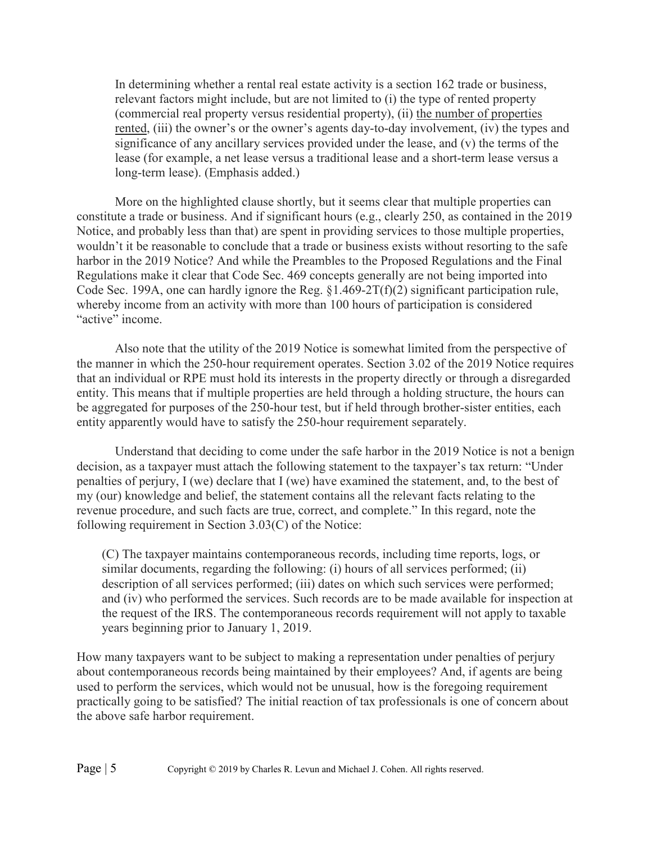In determining whether a rental real estate activity is a section 162 trade or business, relevant factors might include, but are not limited to (i) the type of rented property (commercial real property versus residential property), (ii) the number of properties rented, (iii) the owner's or the owner's agents day-to-day involvement, (iv) the types and significance of any ancillary services provided under the lease, and (v) the terms of the lease (for example, a net lease versus a traditional lease and a short-term lease versus a long-term lease). (Emphasis added.)

More on the highlighted clause shortly, but it seems clear that multiple properties can constitute a trade or business. And if significant hours (e.g., clearly 250, as contained in the 2019 Notice, and probably less than that) are spent in providing services to those multiple properties, wouldn't it be reasonable to conclude that a trade or business exists without resorting to the safe harbor in the 2019 Notice? And while the Preambles to the Proposed Regulations and the Final Regulations make it clear that Code Sec. 469 concepts generally are not being imported into Code Sec. 199A, one can hardly ignore the Reg. §1.469-2T(f)(2) significant participation rule, whereby income from an activity with more than 100 hours of participation is considered "active" income.

Also note that the utility of the 2019 Notice is somewhat limited from the perspective of the manner in which the 250-hour requirement operates. Section 3.02 of the 2019 Notice requires that an individual or RPE must hold its interests in the property directly or through a disregarded entity. This means that if multiple properties are held through a holding structure, the hours can be aggregated for purposes of the 250-hour test, but if held through brother-sister entities, each entity apparently would have to satisfy the 250-hour requirement separately.

Understand that deciding to come under the safe harbor in the 2019 Notice is not a benign decision, as a taxpayer must attach the following statement to the taxpayer's tax return: "Under penalties of perjury, I (we) declare that I (we) have examined the statement, and, to the best of my (our) knowledge and belief, the statement contains all the relevant facts relating to the revenue procedure, and such facts are true, correct, and complete." In this regard, note the following requirement in Section 3.03(C) of the Notice:

(C) The taxpayer maintains contemporaneous records, including time reports, logs, or similar documents, regarding the following: (i) hours of all services performed; (ii) description of all services performed; (iii) dates on which such services were performed; and (iv) who performed the services. Such records are to be made available for inspection at the request of the IRS. The contemporaneous records requirement will not apply to taxable years beginning prior to January 1, 2019.

How many taxpayers want to be subject to making a representation under penalties of perjury about contemporaneous records being maintained by their employees? And, if agents are being used to perform the services, which would not be unusual, how is the foregoing requirement practically going to be satisfied? The initial reaction of tax professionals is one of concern about the above safe harbor requirement.